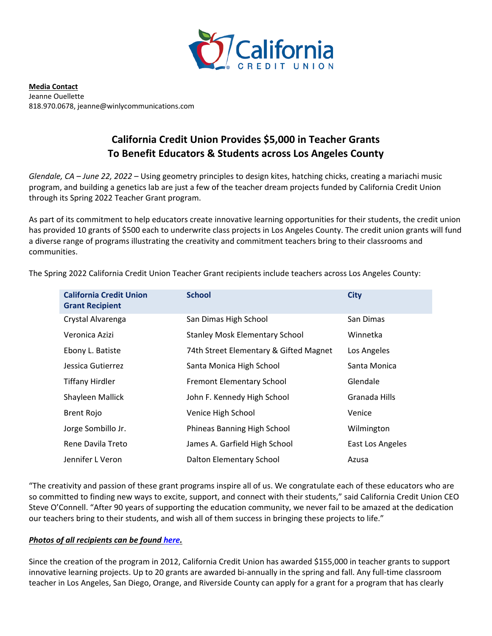

**Media Contact** Jeanne Ouellette 818.970.0678, jeanne@winlycommunications.com

## **California Credit Union Provides \$5,000 in Teacher Grants To Benefit Educators & Students across Los Angeles County**

*Glendale, CA – June 22, 2022* – Using geometry principles to design kites, hatching chicks, creating a mariachi music program, and building a genetics lab are just a few of the teacher dream projects funded by California Credit Union through its Spring 2022 Teacher Grant program.

As part of its commitment to help educators create innovative learning opportunities for their students, the credit union has provided 10 grants of \$500 each to underwrite class projects in Los Angeles County. The credit union grants will fund a diverse range of programs illustrating the creativity and commitment teachers bring to their classrooms and communities.

| <b>California Credit Union</b><br><b>Grant Recipient</b> | <b>School</b>                          | <b>City</b>      |
|----------------------------------------------------------|----------------------------------------|------------------|
| Crystal Alvarenga                                        | San Dimas High School                  | San Dimas        |
| Veronica Azizi                                           | <b>Stanley Mosk Elementary School</b>  | Winnetka         |
| Ebony L. Batiste                                         | 74th Street Elementary & Gifted Magnet | Los Angeles      |
| Jessica Gutierrez                                        | Santa Monica High School               | Santa Monica     |
| <b>Tiffany Hirdler</b>                                   | <b>Fremont Elementary School</b>       | Glendale         |
| Shayleen Mallick                                         | John F. Kennedy High School            | Granada Hills    |
| <b>Brent Rojo</b>                                        | Venice High School                     | Venice           |
| Jorge Sombillo Jr.                                       | Phineas Banning High School            | Wilmington       |
| Rene Davila Treto                                        | James A. Garfield High School          | East Los Angeles |
| Jennifer L Veron                                         | Dalton Elementary School               | Azusa            |

The Spring 2022 California Credit Union Teacher Grant recipients include teachers across Los Angeles County:

"The creativity and passion of these grant programs inspire all of us. We congratulate each of these educators who are so committed to finding new ways to excite, support, and connect with their students," said California Credit Union CEO Steve O'Connell. "After 90 years of supporting the education community, we never fail to be amazed at the dedication our teachers bring to their students, and wish all of them success in bringing these projects to life."

## *Photos of all recipients can be foun[d here.](https://drive.google.com/drive/folders/1lLBx8Timu4Q2fftu_QHHMCdUvimcDv_D)*

Since the creation of the program in 2012, California Credit Union has awarded \$155,000 in teacher grants to support innovative learning projects. Up to 20 grants are awarded bi-annually in the spring and fall. Any full-time classroom teacher in Los Angeles, San Diego, Orange, and Riverside County can apply for a grant for a program that has clearly